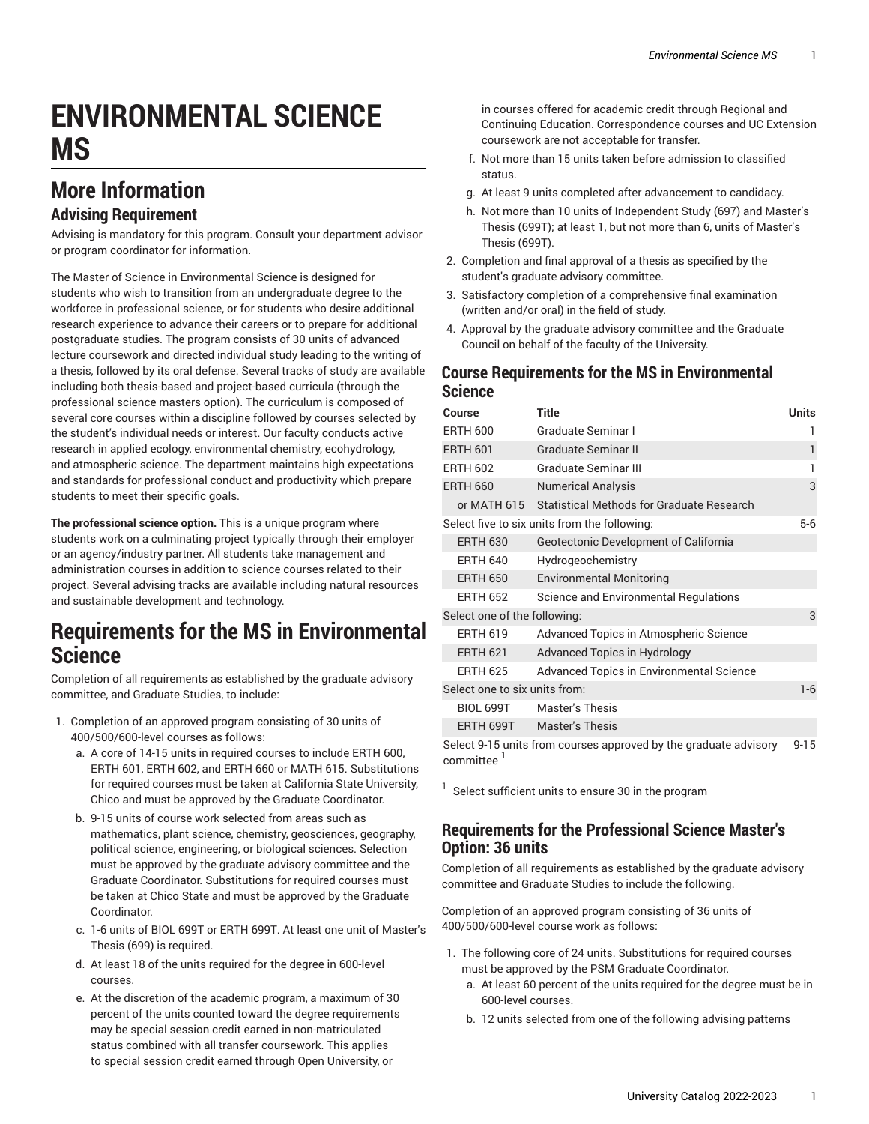# **ENVIRONMENTAL SCIENCE MS**

## **More Information**

#### **Advising Requirement**

Advising is mandatory for this program. Consult your department advisor or program coordinator for information.

The Master of Science in Environmental Science is designed for students who wish to transition from an undergraduate degree to the workforce in professional science, or for students who desire additional research experience to advance their careers or to prepare for additional postgraduate studies. The program consists of 30 units of advanced lecture coursework and directed individual study leading to the writing of a thesis, followed by its oral defense. Several tracks of study are available including both thesis-based and project-based curricula (through the professional science masters option). The curriculum is composed of several core courses within a discipline followed by courses selected by the student's individual needs or interest. Our faculty conducts active research in applied ecology, environmental chemistry, ecohydrology, and atmospheric science. The department maintains high expectations and standards for professional conduct and productivity which prepare students to meet their specific goals.

**The professional science option.** This is a unique program where students work on a culminating project typically through their employer or an agency/industry partner. All students take management and administration courses in addition to science courses related to their project. Several advising tracks are available including natural resources and sustainable development and technology.

#### **Requirements for the MS in Environmental Science**

Completion of all requirements as established by the graduate advisory committee, and Graduate Studies, to include:

- 1. Completion of an approved program consisting of 30 units of 400/500/600-level courses as follows:
	- a. A core of 14-15 units in required courses to include ERTH 600, ERTH 601, ERTH 602, and ERTH 660 or MATH 615. Substitutions for required courses must be taken at California State University, Chico and must be approved by the Graduate Coordinator.
	- b. 9-15 units of course work selected from areas such as mathematics, plant science, chemistry, geosciences, geography, political science, engineering, or biological sciences. Selection must be approved by the graduate advisory committee and the Graduate Coordinator. Substitutions for required courses must be taken at Chico State and must be approved by the Graduate Coordinator.
	- c. 1-6 units of BIOL 699T or ERTH 699T. At least one unit of Master's Thesis (699) is required.
	- d. At least 18 of the units required for the degree in 600-level courses.
	- e. At the discretion of the academic program, a maximum of 30 percent of the units counted toward the degree requirements may be special session credit earned in non-matriculated status combined with all transfer coursework. This applies to special session credit earned through Open University, or

in courses offered for academic credit through Regional and Continuing Education. Correspondence courses and UC Extension coursework are not acceptable for transfer.

- f. Not more than 15 units taken before admission to classified status.
- g. At least 9 units completed after advancement to candidacy.
- h. Not more than 10 units of Independent Study (697) and Master's Thesis (699T); at least 1, but not more than 6, units of Master's Thesis (699T).
- 2. Completion and final approval of a thesis as specified by the student's graduate advisory committee.
- 3. Satisfactory completion of a comprehensive final examination (written and/or oral) in the field of study.
- 4. Approval by the graduate advisory committee and the Graduate Council on behalf of the faculty of the University.

#### **Course Requirements for the MS in Environmental Science**

| Course                                                           | <b>Title</b>                                     | <b>Units</b> |
|------------------------------------------------------------------|--------------------------------------------------|--------------|
| <b>ERTH 600</b>                                                  | Graduate Seminar I                               |              |
| <b>ERTH 601</b>                                                  | <b>Graduate Seminar II</b>                       | 1            |
| <b>ERTH 602</b>                                                  | Graduate Seminar III                             | 1            |
| <b>ERTH 660</b>                                                  | <b>Numerical Analysis</b>                        | 3            |
| or MATH 615                                                      | <b>Statistical Methods for Graduate Research</b> |              |
| Select five to six units from the following:                     |                                                  |              |
| <b>ERTH 630</b>                                                  | Geotectonic Development of California            |              |
| <b>ERTH 640</b>                                                  | Hydrogeochemistry                                |              |
| <b>ERTH 650</b>                                                  | <b>Environmental Monitoring</b>                  |              |
| <b>ERTH 652</b>                                                  | Science and Environmental Regulations            |              |
| Select one of the following:                                     |                                                  | 3            |
| <b>ERTH 619</b>                                                  | Advanced Topics in Atmospheric Science           |              |
| <b>ERTH 621</b>                                                  | <b>Advanced Topics in Hydrology</b>              |              |
| <b>ERTH 625</b>                                                  | Advanced Topics in Environmental Science         |              |
| Select one to six units from:                                    |                                                  | $1 - 6$      |
| <b>BIOL 699T</b>                                                 | <b>Master's Thesis</b>                           |              |
| ERTH 699T                                                        | <b>Master's Thesis</b>                           |              |
| Select 9-15 units from courses approved by the graduate advisory |                                                  |              |

committee

 $1$  Select sufficient units to ensure 30 in the program

#### **Requirements for the Professional Science Master's Option: 36 units**

Completion of all requirements as established by the graduate advisory committee and Graduate Studies to include the following.

Completion of an approved program consisting of 36 units of 400/500/600-level course work as follows:

- 1. The following core of 24 units. Substitutions for required courses must be approved by the PSM Graduate Coordinator.
	- a. At least 60 percent of the units required for the degree must be in 600-level courses.
	- b. 12 units selected from one of the following advising patterns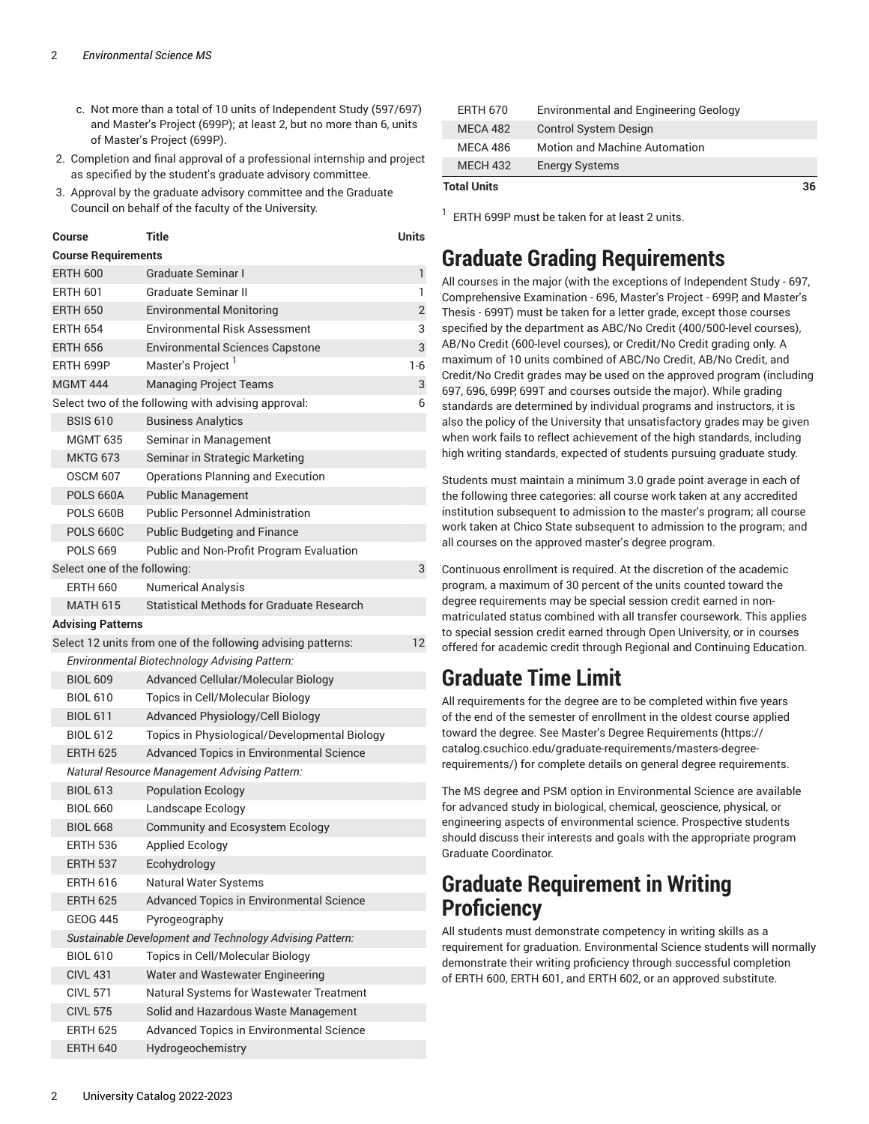- c. Not more than a total of 10 units of Independent Study (597/697) and Master's Project (699P); at least 2, but no more than 6, units of Master's Project (699P).
- 2. Completion and final approval of a professional internship and project as specified by the student's graduate advisory committee.
- 3. Approval by the graduate advisory committee and the Graduate Council on behalf of the faculty of the University.

| Course                                                   | Title                                                        | Units          |  |  |
|----------------------------------------------------------|--------------------------------------------------------------|----------------|--|--|
| <b>Course Requirements</b>                               |                                                              |                |  |  |
| <b>ERTH 600</b>                                          | Graduate Seminar I                                           | 1              |  |  |
| <b>ERTH 601</b>                                          | Graduate Seminar II                                          | 1              |  |  |
| <b>ERTH 650</b>                                          | <b>Environmental Monitoring</b>                              | $\overline{2}$ |  |  |
| <b>ERTH 654</b>                                          | Environmental Risk Assessment                                | 3              |  |  |
| <b>ERTH 656</b>                                          | Environmental Sciences Capstone                              | 3              |  |  |
| ERTH 699P                                                | Master's Project <sup>1</sup>                                | $1-6$          |  |  |
| <b>MGMT 444</b>                                          | <b>Managing Project Teams</b>                                | 3              |  |  |
| Select two of the following with advising approval:<br>6 |                                                              |                |  |  |
| <b>BSIS 610</b>                                          | <b>Business Analytics</b>                                    |                |  |  |
| <b>MGMT 635</b>                                          | Seminar in Management                                        |                |  |  |
| MKTG 673                                                 | Seminar in Strategic Marketing                               |                |  |  |
| <b>OSCM 607</b>                                          | Operations Planning and Execution                            |                |  |  |
| <b>POLS 660A</b>                                         | <b>Public Management</b>                                     |                |  |  |
| <b>POLS 660B</b>                                         | <b>Public Personnel Administration</b>                       |                |  |  |
| <b>POLS 660C</b>                                         | <b>Public Budgeting and Finance</b>                          |                |  |  |
| <b>POLS 669</b>                                          | Public and Non-Profit Program Evaluation                     |                |  |  |
| Select one of the following:                             |                                                              | 3              |  |  |
| <b>ERTH 660</b>                                          | <b>Numerical Analysis</b>                                    |                |  |  |
| <b>MATH 615</b>                                          | Statistical Methods for Graduate Research                    |                |  |  |
| <b>Advising Patterns</b>                                 |                                                              |                |  |  |
|                                                          | Select 12 units from one of the following advising patterns: | 12             |  |  |
|                                                          | Environmental Biotechnology Advising Pattern:                |                |  |  |
| <b>BIOL 609</b>                                          | Advanced Cellular/Molecular Biology                          |                |  |  |
| <b>BIOL 610</b>                                          | Topics in Cell/Molecular Biology                             |                |  |  |
| <b>BIOL 611</b>                                          | Advanced Physiology/Cell Biology                             |                |  |  |
| <b>BIOL 612</b>                                          | Topics in Physiological/Developmental Biology                |                |  |  |
| <b>ERTH 625</b>                                          | Advanced Topics in Environmental Science                     |                |  |  |
|                                                          | <b>Natural Resource Management Advising Pattern:</b>         |                |  |  |
| <b>BIOL 613</b>                                          | <b>Population Ecology</b>                                    |                |  |  |
| <b>BIOL 660</b>                                          | Landscape Ecology                                            |                |  |  |
| <b>BIOL 668</b>                                          | <b>Community and Ecosystem Ecology</b>                       |                |  |  |
| <b>ERTH 536</b>                                          | Applied Ecology                                              |                |  |  |
| <b>ERTH 537</b>                                          | Ecohydrology                                                 |                |  |  |
| <b>ERTH 616</b>                                          | Natural Water Systems                                        |                |  |  |
| <b>ERTH 625</b>                                          | Advanced Topics in Environmental Science                     |                |  |  |
| <b>GEOG 445</b>                                          | Pyrogeography                                                |                |  |  |
| Sustainable Development and Technology Advising Pattern: |                                                              |                |  |  |
| <b>BIOL 610</b>                                          | Topics in Cell/Molecular Biology                             |                |  |  |
| <b>CIVL 431</b>                                          | Water and Wastewater Engineering                             |                |  |  |
| <b>CIVL 571</b>                                          | Natural Systems for Wastewater Treatment                     |                |  |  |
| <b>CIVL 575</b>                                          | Solid and Hazardous Waste Management                         |                |  |  |
| <b>ERTH 625</b>                                          | Advanced Topics in Environmental Science                     |                |  |  |

| <b>Total Units</b> |                                              | 36 |
|--------------------|----------------------------------------------|----|
| <b>MECH 432</b>    | <b>Energy Systems</b>                        |    |
| MECA 486           | <b>Motion and Machine Automation</b>         |    |
| MECA 482           | <b>Control System Design</b>                 |    |
| <b>ERTH 670</b>    | <b>Environmental and Engineering Geology</b> |    |

 $^1$  ERTH 699P must be taken for at least 2 units.

#### **Graduate Grading Requirements**

All courses in the major (with the exceptions of Independent Study - 697, Comprehensive Examination - 696, Master's Project - 699P, and Master's Thesis - 699T) must be taken for a letter grade, except those courses specified by the department as ABC/No Credit (400/500-level courses), AB/No Credit (600-level courses), or Credit/No Credit grading only. A maximum of 10 units combined of ABC/No Credit, AB/No Credit, and Credit/No Credit grades may be used on the approved program (including 697, 696, 699P, 699T and courses outside the major). While grading standards are determined by individual programs and instructors, it is also the policy of the University that unsatisfactory grades may be given when work fails to reflect achievement of the high standards, including high writing standards, expected of students pursuing graduate study.

Students must maintain a minimum 3.0 grade point average in each of the following three categories: all course work taken at any accredited institution subsequent to admission to the master's program; all course work taken at Chico State subsequent to admission to the program; and all courses on the approved master's degree program.

Continuous enrollment is required. At the discretion of the academic program, a maximum of 30 percent of the units counted toward the degree requirements may be special session credit earned in nonmatriculated status combined with all transfer coursework. This applies to special session credit earned through Open University, or in courses offered for academic credit through Regional and Continuing Education.

## **Graduate Time Limit**

All requirements for the degree are to be completed within five years of the end of the semester of enrollment in the oldest course applied toward the degree. See Master's Degree [Requirements](https://catalog.csuchico.edu/graduate-requirements/masters-degree-requirements/) ([https://](https://catalog.csuchico.edu/graduate-requirements/masters-degree-requirements/) [catalog.csuchico.edu/graduate-requirements/masters-degree](https://catalog.csuchico.edu/graduate-requirements/masters-degree-requirements/)[requirements/](https://catalog.csuchico.edu/graduate-requirements/masters-degree-requirements/)) for complete details on general degree requirements.

The MS degree and PSM option in Environmental Science are available for advanced study in biological, chemical, geoscience, physical, or engineering aspects of environmental science. Prospective students should discuss their interests and goals with the appropriate program Graduate Coordinator.

#### **Graduate Requirement in Writing Proficiency**

All students must demonstrate competency in writing skills as a requirement for graduation. Environmental Science students will normally demonstrate their writing proficiency through successful completion of ERTH 600, ERTH 601, and ERTH 602, or an approved substitute.

ERTH 640 Hydrogeochemistry